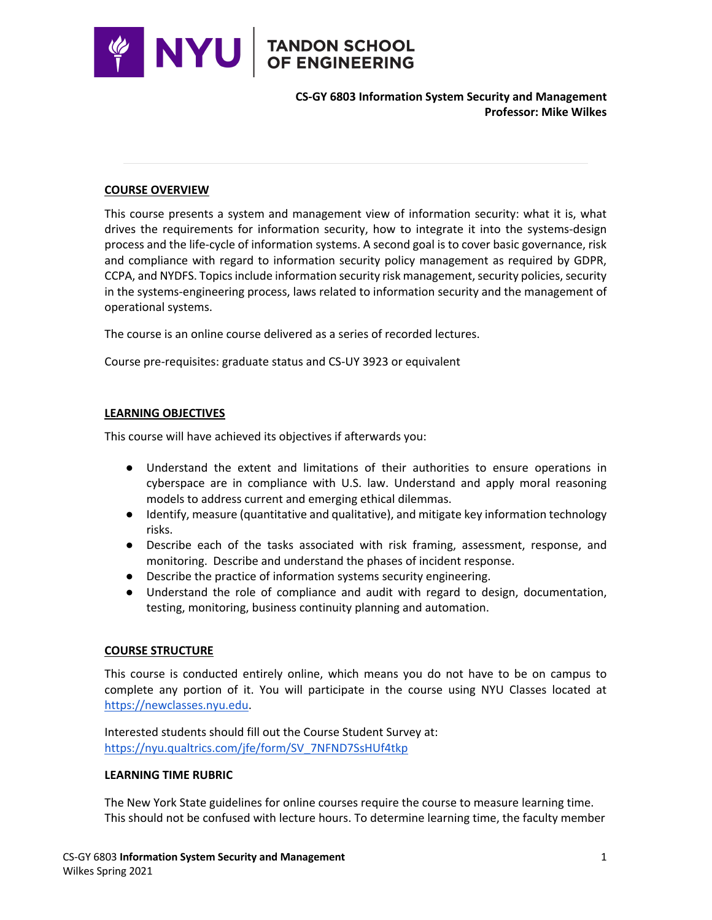

**CS-GY 6803 Information System Security and Management Professor: Mike Wilkes**

#### **COURSE OVERVIEW**

This course presents a system and management view of information security: what it is, what drives the requirements for information security, how to integrate it into the systems-design process and the life-cycle of information systems. A second goal is to cover basic governance, risk and compliance with regard to information security policy management as required by GDPR, CCPA, and NYDFS. Topics include information security risk management, security policies, security in the systems-engineering process, laws related to information security and the management of operational systems.

The course is an online course delivered as a series of recorded lectures.

Course pre-requisites: graduate status and CS-UY 3923 or equivalent

#### **LEARNING OBJECTIVES**

This course will have achieved its objectives if afterwards you:

- Understand the extent and limitations of their authorities to ensure operations in cyberspace are in compliance with U.S. law. Understand and apply moral reasoning models to address current and emerging ethical dilemmas.
- Identify, measure (quantitative and qualitative), and mitigate key information technology risks.
- Describe each of the tasks associated with risk framing, assessment, response, and monitoring. Describe and understand the phases of incident response.
- Describe the practice of information systems security engineering.
- Understand the role of compliance and audit with regard to design, documentation, testing, monitoring, business continuity planning and automation.

#### **COURSE STRUCTURE**

This course is conducted entirely online, which means you do not have to be on campus to complete any portion of it. You will participate in the course using NYU Classes located at https://newclasses.nyu.edu.

Interested students should fill out the Course Student Survey at: https://nyu.qualtrics.com/jfe/form/SV\_7NFND7SsHUf4tkp

#### **LEARNING TIME RUBRIC**

The New York State guidelines for online courses require the course to measure learning time. This should not be confused with lecture hours. To determine learning time, the faculty member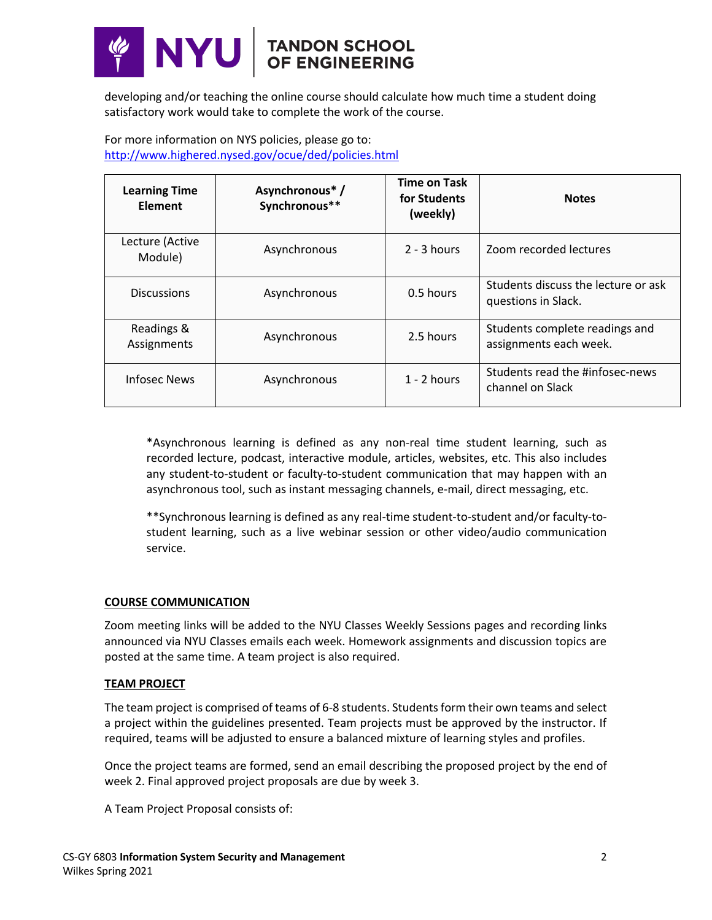

developing and/or teaching the online course should calculate how much time a student doing satisfactory work would take to complete the work of the course.

For more information on NYS policies, please go to: http://www.highered.nysed.gov/ocue/ded/policies.html

| <b>Learning Time</b><br>Element | Asynchronous*/<br>Synchronous** | <b>Time on Task</b><br>for Students<br>(weekly) | <b>Notes</b>                                               |
|---------------------------------|---------------------------------|-------------------------------------------------|------------------------------------------------------------|
| Lecture (Active<br>Module)      | Asynchronous                    | $2 - 3$ hours                                   | Zoom recorded lectures                                     |
| <b>Discussions</b>              | Asynchronous                    | 0.5 hours                                       | Students discuss the lecture or ask<br>questions in Slack. |
| Readings &<br>Assignments       | Asynchronous                    | 2.5 hours                                       | Students complete readings and<br>assignments each week.   |
| Infosec News                    | Asynchronous                    | $1 - 2$ hours                                   | Students read the #infosec-news<br>channel on Slack        |

\*Asynchronous learning is defined as any non-real time student learning, such as recorded lecture, podcast, interactive module, articles, websites, etc. This also includes any student-to-student or faculty-to-student communication that may happen with an asynchronous tool, such as instant messaging channels, e-mail, direct messaging, etc.

\*\*Synchronous learning is defined as any real-time student-to-student and/or faculty-tostudent learning, such as a live webinar session or other video/audio communication service.

#### **COURSE COMMUNICATION**

Zoom meeting links will be added to the NYU Classes Weekly Sessions pages and recording links announced via NYU Classes emails each week. Homework assignments and discussion topics are posted at the same time. A team project is also required.

#### **TEAM PROJECT**

The team project is comprised of teams of 6-8 students. Students form their own teams and select a project within the guidelines presented. Team projects must be approved by the instructor. If required, teams will be adjusted to ensure a balanced mixture of learning styles and profiles.

Once the project teams are formed, send an email describing the proposed project by the end of week 2. Final approved project proposals are due by week 3.

A Team Project Proposal consists of: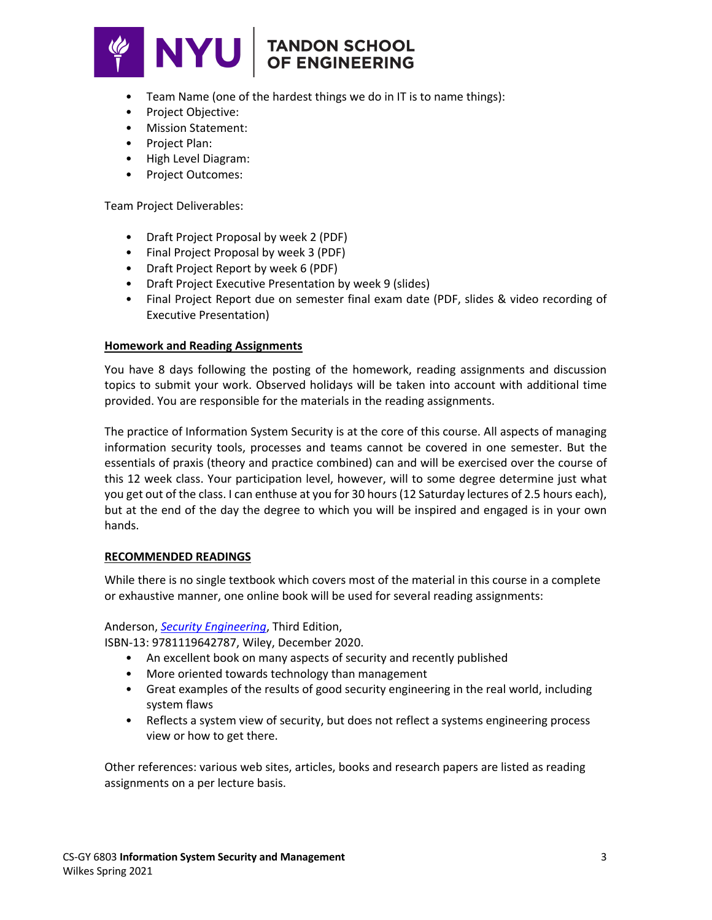

# **TANDON SCHOOL<br>OF ENGINEERING**

- Team Name (one of the hardest things we do in IT is to name things):
- Project Objective:
- Mission Statement:
- Project Plan:
- High Level Diagram:
- Project Outcomes:

Team Project Deliverables:

- Draft Project Proposal by week 2 (PDF)
- Final Project Proposal by week 3 (PDF)
- Draft Project Report by week 6 (PDF)
- Draft Project Executive Presentation by week 9 (slides)
- Final Project Report due on semester final exam date (PDF, slides & video recording of Executive Presentation)

#### **Homework and Reading Assignments**

You have 8 days following the posting of the homework, reading assignments and discussion topics to submit your work. Observed holidays will be taken into account with additional time provided. You are responsible for the materials in the reading assignments.

The practice of Information System Security is at the core of this course. All aspects of managing information security tools, processes and teams cannot be covered in one semester. But the essentials of praxis (theory and practice combined) can and will be exercised over the course of this 12 week class. Your participation level, however, will to some degree determine just what you get out of the class. I can enthuse at you for 30 hours (12 Saturday lectures of 2.5 hours each), but at the end of the day the degree to which you will be inspired and engaged is in your own hands.

#### **RECOMMENDED READINGS**

While there is no single textbook which covers most of the material in this course in a complete or exhaustive manner, one online book will be used for several reading assignments:

#### Anderson, *Security Engineering*, Third Edition,

ISBN-13: 9781119642787, Wiley, December 2020.

- An excellent book on many aspects of security and recently published
- More oriented towards technology than management
- Great examples of the results of good security engineering in the real world, including system flaws
- Reflects a system view of security, but does not reflect a systems engineering process view or how to get there.

Other references: various web sites, articles, books and research papers are listed as reading assignments on a per lecture basis.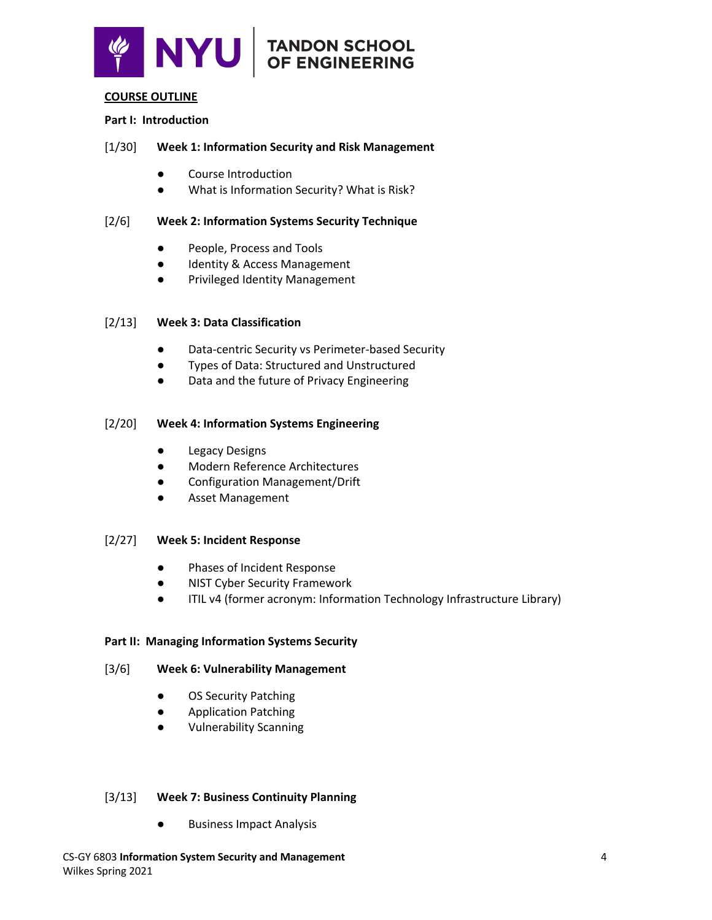

# $\mathbf{N}$  $\mathbf{V}$   $\parallel$  TANDON SCHOOL

#### **COURSE OUTLINE**

#### **Part I: Introduction**

#### [1/30] **Week 1: Information Security and Risk Management**

- Course Introduction
- What is Information Security? What is Risk?

#### [2/6] **Week 2: Information Systems Security Technique**

- People, Process and Tools
- Identity & Access Management
- Privileged Identity Management

#### [2/13] **Week 3: Data Classification**

- Data-centric Security vs Perimeter-based Security
- Types of Data: Structured and Unstructured
- Data and the future of Privacy Engineering

#### [2/20] **Week 4: Information Systems Engineering**

- Legacy Designs
- **Modern Reference Architectures**
- Configuration Management/Drift
- Asset Management

#### [2/27] **Week 5: Incident Response**

- Phases of Incident Response
- NIST Cyber Security Framework
- ITIL v4 (former acronym: Information Technology Infrastructure Library)

#### **Part II: Managing Information Systems Security**

#### [3/6] **Week 6: Vulnerability Management**

- OS Security Patching
- Application Patching
- Vulnerability Scanning

#### [3/13] **Week 7: Business Continuity Planning**

**Business Impact Analysis**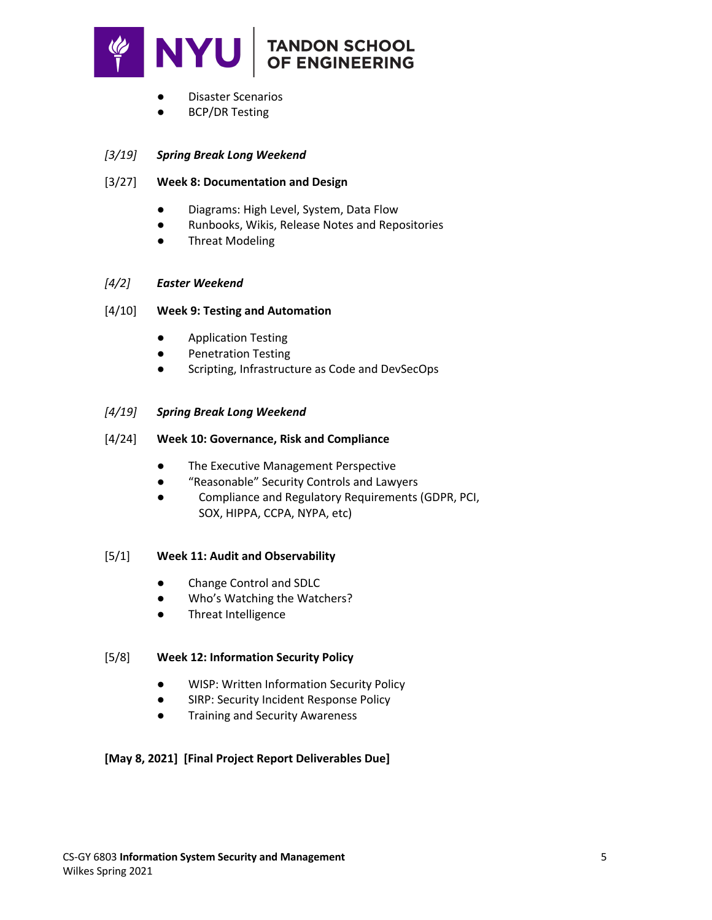

- Disaster Scenarios
- **BCP/DR Testing**

### *[3/19] Spring Break Long Weekend*

#### [3/27] **Week 8: Documentation and Design**

- Diagrams: High Level, System, Data Flow
- Runbooks, Wikis, Release Notes and Repositories
- **Threat Modeling**

#### *[4/2] Easter Weekend*

#### [4/10] **Week 9: Testing and Automation**

- Application Testing
- Penetration Testing
- Scripting, Infrastructure as Code and DevSecOps

#### *[4/19] Spring Break Long Weekend*

- [4/24] **Week 10: Governance, Risk and Compliance**
	- The Executive Management Perspective
	- "Reasonable" Security Controls and Lawyers
	- Compliance and Regulatory Requirements (GDPR, PCI, SOX, HIPPA, CCPA, NYPA, etc)

#### [5/1] **Week 11: Audit and Observability**

- Change Control and SDLC
- Who's Watching the Watchers?
- Threat Intelligence

#### [5/8] **Week 12: Information Security Policy**

- WISP: Written Information Security Policy
- SIRP: Security Incident Response Policy
- Training and Security Awareness

#### **[May 8, 2021] [Final Project Report Deliverables Due]**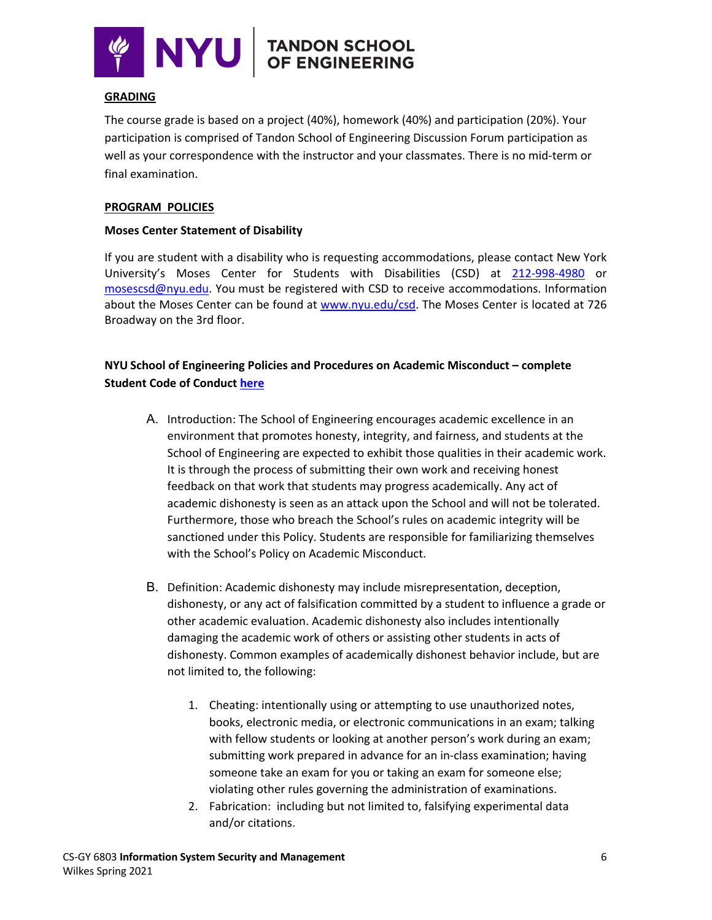

# NYU TANDON SCHOOL

#### **GRADING**

The course grade is based on a project (40%), homework (40%) and participation (20%). Your participation is comprised of Tandon School of Engineering Discussion Forum participation as well as your correspondence with the instructor and your classmates. There is no mid-term or final examination.

#### **PROGRAM POLICIES**

#### **Moses Center Statement of Disability**

If you are student with a disability who is requesting accommodations, please contact New York University's Moses Center for Students with Disabilities (CSD) at 212-998-4980 or mosescsd@nyu.edu. You must be registered with CSD to receive accommodations. Information about the Moses Center can be found at www.nyu.edu/csd. The Moses Center is located at 726 Broadway on the 3rd floor.

# **NYU School of Engineering Policies and Procedures on Academic Misconduct – complete Student Code of Conduct here**

- A. Introduction: The School of Engineering encourages academic excellence in an environment that promotes honesty, integrity, and fairness, and students at the School of Engineering are expected to exhibit those qualities in their academic work. It is through the process of submitting their own work and receiving honest feedback on that work that students may progress academically. Any act of academic dishonesty is seen as an attack upon the School and will not be tolerated. Furthermore, those who breach the School's rules on academic integrity will be sanctioned under this Policy. Students are responsible for familiarizing themselves with the School's Policy on Academic Misconduct.
- B. Definition: Academic dishonesty may include misrepresentation, deception, dishonesty, or any act of falsification committed by a student to influence a grade or other academic evaluation. Academic dishonesty also includes intentionally damaging the academic work of others or assisting other students in acts of dishonesty. Common examples of academically dishonest behavior include, but are not limited to, the following:
	- 1. Cheating: intentionally using or attempting to use unauthorized notes, books, electronic media, or electronic communications in an exam; talking with fellow students or looking at another person's work during an exam; submitting work prepared in advance for an in-class examination; having someone take an exam for you or taking an exam for someone else; violating other rules governing the administration of examinations.
	- 2. Fabrication: including but not limited to, falsifying experimental data and/or citations.